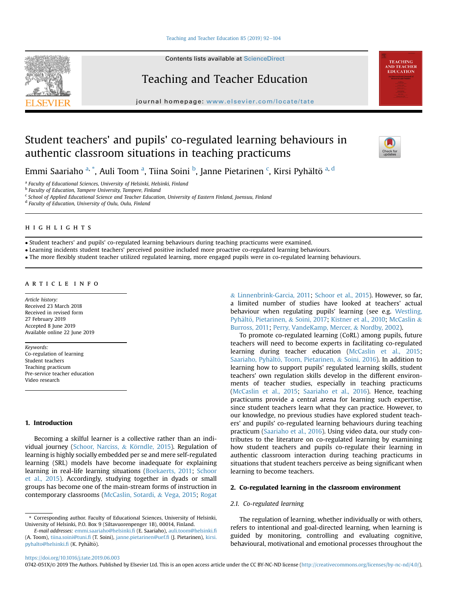#### Teaching and Teacher Education 85 (2019)  $92-104$  $92-104$

Contents lists available at ScienceDirect

# Teaching and Teacher Education

journal homepage: <www.elsevier.com/locate/tate>

# Student teachers' and pupils' co-regulated learning behaviours in authentic classroom situations in teaching practicums



**TEACHING** AND TEACHER **EDUCATION** 

Emmi Saariaho <sup>a, \*</sup>, Auli Toom <sup>a</sup>, Tiina Soini <sup>b</sup>, Janne Pietarinen <sup>c</sup>, Kirsi Pyhältö <sup>a, d</sup>

<sup>a</sup> Faculty of Educational Sciences, University of Helsinki, Helsinki, Finland

**b** Faculty of Education, Tampere University, Tampere, Finland

<sup>c</sup> School of Applied Educational Science and Teacher Education, University of Eastern Finland, Joensuu, Finland

<sup>d</sup> Faculty of Education, University of Oulu, Oulu, Finland

Student teachers' and pupils' co-regulated learning behaviours during teaching practicums were examined.

Learning incidents student teachers' perceived positive included more proactive co-regulated learning behaviours.

The more flexibly student teacher utilized regulated learning, more engaged pupils were in co-regulated learning behaviours.

Article history: Received 23 March 2018 Received in revised form 27 February 2019 Accepted 8 June 2019 Available online 22 June 2019

Keywords: Co-regulation of learning Student teachers Teaching practicum Pre-service teacher education Video research

# 1. Introduction

Becoming a skilful learner is a collective rather than an indi-vidual journey ([Schoor, Narciss,](#page-12-0) & [K](#page-12-0)ö[rndle, 2015](#page-12-0)). Regulation of learning is highly socially embedded per se and mere self-regulated learning (SRL) models have become inadequate for explaining learning in real-life learning situations ([Boekaerts, 2011](#page-12-0); [Schoor](#page-12-0) [et al., 2015](#page-12-0)). Accordingly, studying together in dyads or small groups has become one of the main-stream forms of instruction in contemporary classrooms [\(McCaslin, Sotardi,](#page-12-0) & [Vega, 2015;](#page-12-0) [Rogat](#page-12-0) & [Linnenbrink-Garcia, 2011;](#page-12-0) [Schoor et al., 2015](#page-12-0)). However, so far, a limited number of studies have looked at teachers' actual behaviour when regulating pupils' learning (see e.g. [Westling,](#page-12-0) Pyhältö, Pietarinen, & [Soini, 2017](#page-12-0); [Kistner et al., 2010](#page-12-0); [McCaslin](#page-12-0) & [Burross, 2011](#page-12-0); [Perry, VandeKamp, Mercer,](#page-12-0) & [Nordby, 2002](#page-12-0)).

To promote co-regulated learning (CoRL) among pupils, future teachers will need to become experts in facilitating co-regulated learning during teacher education ([McCaslin et al., 2015](#page-12-0); Saariaho, Pyhältö, Toom, Pietarinen, & [Soini, 2016\)](#page-12-0). In addition to learning how to support pupils' regulated learning skills, student teachers' own regulation skills develop in the different environments of teacher studies, especially in teaching practicums ([McCaslin et al., 2015;](#page-12-0) [Saariaho et al., 2016](#page-12-0)). Hence, teaching practicums provide a central arena for learning such expertise, since student teachers learn what they can practice. However, to our knowledge, no previous studies have explored student teachers' and pupils' co-regulated learning behaviours during teaching practicum [\(Saariaho et al., 2016\)](#page-12-0). Using video data, our study contributes to the literature on co-regulated learning by examining how student teachers and pupils co-regulate their learning in authentic classroom interaction during teaching practicums in situations that student teachers perceive as being significant when learning to become teachers.

# 2. Co-regulated learning in the classroom environment

# 2.1. Co-regulated learning

The regulation of learning, whether individually or with others, refers to intentional and goal-directed learning, when learning is guided by monitoring, controlling and evaluating cognitive, behavioural, motivational and emotional processes throughout the

0742-051X/© 2019 The Authors. Published by Elsevier Ltd. This is an open access article under the CC BY-NC-ND license ([http://creativecommons.org/licenses/by-nc-nd/4.0/\)](http://creativecommons.org/licenses/by-nc-nd/4.0/).

<sup>\*</sup> Corresponding author. Faculty of Educational Sciences, University of Helsinki, University of Helsinki, P.O. Box 9 (Siltavuorenpenger 1B), 00014, Finland.

E-mail addresses: [emmi.saariaho@helsinki.](mailto:emmi.saariaho@helsinki.fi)fi (E. Saariaho), [auli.toom@helsinki.](mailto:auli.toom@helsinki.fi)fi (A. Toom), [tiina.soini@tuni.](mailto:tiina.soini@tuni.fi)fi (T. Soini), [janne.pietarinen@uef.](mailto:janne.pietarinen@uef.fi)fi (J. Pietarinen), [kirsi.](mailto:kirsi.pyhalto@helsinki.fi) [pyhalto@helsinki.](mailto:kirsi.pyhalto@helsinki.fi)fi (K. Pyhältö).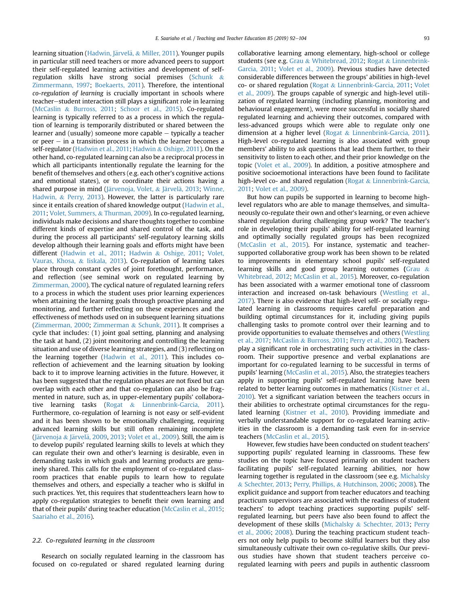learning situation (Hadwin, Järvelä, & [Miller, 2011](#page-12-0)). Younger pupils in particular still need teachers or more advanced peers to support their self-regulated learning activities and development of selfregulation skills have strong social premises [\(Schunk](#page-12-0) & [Zimmermann, 1997;](#page-12-0) [Boekaerts, 2011](#page-12-0)). Therefore, the intentional co-regulation of learning is crucially important in schools where teacher-student interaction still plays a significant role in learning ([McCaslin](#page-12-0) & [Burross, 2011;](#page-12-0) [Schoor et al., 2015\)](#page-12-0). Co-regulated learning is typically referred to as a process in which the regulation of learning is temporarily distributed or shared between the learner and (usually) someone more capable  $-$  typically a teacher or peer  $-$  in a transition process in which the learner becomes a self-regulator [\(Hadwin et al., 2011;](#page-12-0) [Hadwin](#page-12-0) & [Oshige, 2011\)](#page-12-0). On the other hand, co-regulated learning can also be a reciprocal process in which all participants intentionally regulate the learning for the benefit of themselves and others (e.g. each other's cognitive actions and emotional states), or to coordinate their actions having a shared purpose in mind (Järvenoja, Volet, & Järvelä, 2013; [Winne,](#page-12-0) [Hadwin,](#page-12-0) & [Perry, 2013](#page-12-0)). However, the latter is particularly rare since it entails creation of shared knowledge output ([Hadwin et al.,](#page-12-0) [2011](#page-12-0); [Volet, Summers,](#page-12-0) & [Thurman, 2009\)](#page-12-0). In co-regulated learning, individuals make decisions and share thoughts together to combine different kinds of expertise and shared control of the task, and during the process all participants' self-regulatory learning skills develop although their learning goals and efforts might have been different ([Hadwin et al., 2011;](#page-12-0) [Hadwin](#page-12-0) & [Oshige, 2011](#page-12-0); [Volet,](#page-12-0) [Vauras, Khosa,](#page-12-0) & [Iiskala, 2013](#page-12-0)). Co-regulation of learning takes place through constant cycles of joint forethought, performance, and reflection (see seminal work on regulated learning by [Zimmerman, 2000\)](#page-12-0). The cyclical nature of regulated learning refers to a process in which the student uses prior learning experiences when attaining the learning goals through proactive planning and monitoring, and further reflecting on these experiences and the effectiveness of methods used on in subsequent learning situations ([Zimmerman, 2000;](#page-12-0) [Zimmerman](#page-12-0) & [Schunk, 2011\)](#page-12-0). It comprises a cycle that includes: (1) joint goal setting, planning and analysing the task at hand, (2) joint monitoring and controlling the learning situation and use of diverse learning strategies, and (3) reflecting on the learning together [\(Hadwin et al., 2011](#page-12-0)). This includes coreflection of achievement and the learning situation by looking back to it to improve learning activities in the future. However, it has been suggested that the regulation phases are not fixed but can overlap with each other and that co-regulation can also be fragmented in nature, such as, in upper-elementary pupils' collaborative learning tasks [\(Rogat](#page-12-0) & [Linnenbrink-Garcia, 2011\)](#page-12-0). Furthermore, co-regulation of learning is not easy or self-evident and it has been shown to be emotionally challenging, requiring advanced learning skills but still often remaining incomplete (Järvenoja & Järvelä[, 2009](#page-12-0), [2013;](#page-12-0) [Volet et al., 2009](#page-12-0)). Still, the aim is to develop pupils' regulated learning skills to levels at which they can regulate their own and other's learning is desirable, even in demanding tasks in which goals and learning products are genuinely shared. This calls for the employment of co-regulated classroom practices that enable pupils to learn how to regulate themselves and others, and especially a teacher who is skilful in such practices. Yet, this requires that studentteachers learn how to apply co-regulation strategies to benefit their own learning and that of their pupils' during teacher education ([McCaslin et al., 2015;](#page-12-0) [Saariaho et al., 2016](#page-12-0)).

# 2.2. Co-regulated learning in the classroom

Research on socially regulated learning in the classroom has focused on co-regulated or shared regulated learning during collaborative learning among elementary, high-school or college students (see e.g. [Grau](#page-12-0) & [Whitebread, 2012;](#page-12-0) [Rogat](#page-12-0) & [Linnenbrink-](#page-12-0)[Garcia, 2011;](#page-12-0) [Volet et al., 2009](#page-12-0)). Previous studies have detected considerable differences between the groups' abilities in high-level co- or shared regulation [\(Rogat](#page-12-0) & [Linnenbrink-Garcia, 2011](#page-12-0); [Volet](#page-12-0) [et al., 2009\)](#page-12-0). The groups capable of synergic and high-level utilization of regulated learning (including planning, monitoring and behavioural engagement), were more successful in socially shared regulated learning and achieving their outcomes, compared with less-advanced groups which were able to regulate only one dimension at a higher level ([Rogat](#page-12-0) & [Linnenbrink-Garcia, 2011\)](#page-12-0). High-level co-regulated learning is also associated with group members' ability to ask questions that lead them further, to their sensitivity to listen to each other, and their prior knowledge on the topic ([Volet et al., 2009\)](#page-12-0). In addition, a positive atmosphere and positive socioemotional interactions have been found to facilitate high-level co- and shared regulation [\(Rogat](#page-12-0) & [Linnenbrink-Garcia,](#page-12-0) [2011](#page-12-0); [Volet et al., 2009\)](#page-12-0).

But how can pupils be supported in learning to become highlevel regulators who are able to manage themselves, and simultaneously co-regulate their own and other's learning, or even achieve shared regulation during challenging group work? The teacher's role in developing their pupils' ability for self-regulated learning and optimally socially regulated groups has been recognized ([McCaslin et al., 2015\)](#page-12-0). For instance, systematic and teachersupported collaborative group work has been shown to be related to improvements in elementary school pupils' self-regulated learning skills and good group learning outcomes ([Grau](#page-12-0) & [Whitebread, 2012](#page-12-0); [McCaslin et al., 2015](#page-12-0)). Moreover, co-regulation has been associated with a warmer emotional tone of classroom interaction and increased on-task behaviours [\(Westling et al.,](#page-12-0) [2017](#page-12-0)). There is also evidence that high-level self- or socially regulated learning in classrooms requires careful preparation and building optimal circumstances for it, including giving pupils challenging tasks to promote control over their learning and to provide opportunities to evaluate themselves and others [\(Westling](#page-12-0) [et al., 2017](#page-12-0); [McCaslin](#page-12-0) & [Burross, 2011](#page-12-0); [Perry et al., 2002](#page-12-0)). Teachers play a significant role in orchestrating such activities in the classroom. Their supportive presence and verbal explanations are important for co-regulated learning to be successful in terms of pupils' learning ([McCaslin et al., 2015](#page-12-0)). Also, the strategies teachers apply in supporting pupils' self-regulated learning have been related to better learning outcomes in mathematics ([Kistner et al.,](#page-12-0) [2010\)](#page-12-0). Yet a significant variation between the teachers occurs in their abilities to orchestrate optimal circumstances for the regulated learning [\(Kistner et al., 2010\)](#page-12-0). Providing immediate and verbally understandable support for co-regulated learning activities in the classroom is a demanding task even for in-service teachers ([McCaslin et al., 2015](#page-12-0)).

However, few studies have been conducted on student teachers' supporting pupils' regulated learning in classrooms. These few studies on the topic have focused primarily on student teachers facilitating pupils' self-regulated learning abilities, nor how learning together is regulated in the classroom (see e.g. [Michalsky](#page-12-0) & [Schechter, 2013](#page-12-0); [Perry, Phillips,](#page-12-0) & [Hutchinson, 2006;](#page-12-0) [2008](#page-12-0)). The explicit guidance and support from teacher educators and teaching practicum supervisors are associated with the readiness of student teachers' to adopt teaching practices supporting pupils' selfregulated learning, but peers have also been found to affect the development of these skills ([Michalsky](#page-12-0) & [Schechter, 2013](#page-12-0); [Perry](#page-12-0) [et al., 2006](#page-12-0); [2008](#page-12-0)). During the teaching practicum student teachers not only help pupils to become skilful learners but they also simultaneously cultivate their own co-regulative skills. Our previous studies have shown that student teachers perceive coregulated learning with peers and pupils in authentic classroom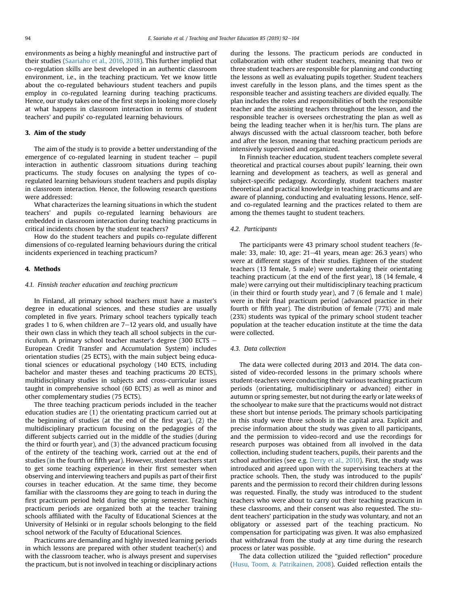environments as being a highly meaningful and instructive part of their studies [\(Saariaho et al., 2016,](#page-12-0) [2018](#page-12-0)). This further implied that co-regulation skills are best developed in an authentic classroom environment, i.e., in the teaching practicum. Yet we know little about the co-regulated behaviours student teachers and pupils employ in co-regulated learning during teaching practicums. Hence, our study takes one of the first steps in looking more closely at what happens in classroom interaction in terms of student teachers' and pupils' co-regulated learning behaviours.

# 3. Aim of the study

The aim of the study is to provide a better understanding of the emergence of co-regulated learning in student teacher  $-$  pupil interaction in authentic classroom situations during teaching practicums. The study focuses on analysing the types of coregulated learning behaviours student teachers and pupils display in classroom interaction. Hence, the following research questions were addressed:

What characterizes the learning situations in which the student teachers' and pupils co-regulated learning behaviours are embedded in classroom interaction during teaching practicums in critical incidents chosen by the student teachers?

How do the student teachers and pupils co-regulate different dimensions of co-regulated learning behaviours during the critical incidents experienced in teaching practicum?

# 4. Methods

#### 4.1. Finnish teacher education and teaching practicum

In Finland, all primary school teachers must have a master's degree in educational sciences, and these studies are usually completed in five years. Primary school teachers typically teach grades 1 to 6, when children are  $7-12$  years old, and usually have their own class in which they teach all school subjects in the curriculum. A primary school teacher master's degree  $(300 \text{ ECTS} -$ European Credit Transfer and Accumulation System) includes orientation studies (25 ECTS), with the main subject being educational sciences or educational psychology (140 ECTS, including bachelor and master theses and teaching practicums 20 ECTS), multidisciplinary studies in subjects and cross-curricular issues taught in comprehensive school (60 ECTS) as well as minor and other complementary studies (75 ECTS).

The three teaching practicum periods included in the teacher education studies are (1) the orientating practicum carried out at the beginning of studies (at the end of the first year), (2) the multidisciplinary practicum focusing on the pedagogies of the different subjects carried out in the middle of the studies (during the third or fourth year), and (3) the advanced practicum focusing of the entirety of the teaching work, carried out at the end of studies (in the fourth or fifth year). However, student teachers start to get some teaching experience in their first semester when observing and interviewing teachers and pupils as part of their first courses in teacher education. At the same time, they become familiar with the classrooms they are going to teach in during the first practicum period held during the spring semester. Teaching practicum periods are organized both at the teacher training schools affiliated with the Faculty of Educational Sciences at the University of Helsinki or in regular schools belonging to the field school network of the Faculty of Educational Sciences.

Practicums are demanding and highly invested learning periods in which lessons are prepared with other student teacher(s) and with the classroom teacher, who is always present and supervises the practicum, but is not involved in teaching or disciplinary actions during the lessons. The practicum periods are conducted in collaboration with other student teachers, meaning that two or three student teachers are responsible for planning and conducting the lessons as well as evaluating pupils together. Student teachers invest carefully in the lesson plans, and the times spent as the responsible teacher and assisting teachers are divided equally. The plan includes the roles and responsibilities of both the responsible teacher and the assisting teachers throughout the lesson, and the responsible teacher is oversees orchestrating the plan as well as being the leading teacher when it is her/his turn. The plans are always discussed with the actual classroom teacher, both before and after the lesson, meaning that teaching practicum periods are intensively supervised and organized.

In Finnish teacher education, student teachers complete several theoretical and practical courses about pupils' learning, their own learning and development as teachers, as well as general and subject-specific pedagogy. Accordingly, student teachers master theoretical and practical knowledge in teaching practicums and are aware of planning, conducting and evaluating lessons. Hence, selfand co-regulated learning and the practices related to them are among the themes taught to student teachers.

# 4.2. Participants

The participants were 43 primary school student teachers (female: 33, male: 10, age: 21-41 years, mean age: 26.3 years) who were at different stages of their studies. Eighteen of the student teachers (13 female, 5 male) were undertaking their orientating teaching practicum (at the end of the first year), 18 (14 female, 4 male) were carrying out their multidisciplinary teaching practicum (in their third or fourth study year), and 7 (6 female and 1 male) were in their final practicum period (advanced practice in their fourth or fifth year). The distribution of female (77%) and male (23%) students was typical of the primary school student teacher population at the teacher education institute at the time the data were collected.

# 4.3. Data collection

The data were collected during 2013 and 2014. The data consisted of video-recorded lessons in the primary schools where student-teachers were conducting their various teaching practicum periods (orientating, multidisciplinary or advanced) either in autumn or spring semester, but not during the early or late weeks of the schoolyear to make sure that the practicums would not distract these short but intense periods. The primary schools participating in this study were three schools in the capital area. Explicit and precise information about the study was given to all participants, and the permission to video-record and use the recordings for research purposes was obtained from all involved in the data collection, including student teachers, pupils, their parents and the school authorities (see e.g. [Derry et al., 2010\)](#page-12-0). First, the study was introduced and agreed upon with the supervising teachers at the practice schools. Then, the study was introduced to the pupils' parents and the permission to record their children during lessons was requested. Finally, the study was introduced to the student teachers who were about to carry out their teaching practicum in these classrooms, and their consent was also requested. The student teachers' participation in the study was voluntary, and not an obligatory or assessed part of the teaching practicum. No compensation for participating was given. It was also emphasized that withdrawal from the study at any time during the research process or later was possible.

The data collection utilized the "guided reflection" procedure ([Husu, Toom,](#page-12-0) & [Patrikainen, 2008\)](#page-12-0). Guided reflection entails the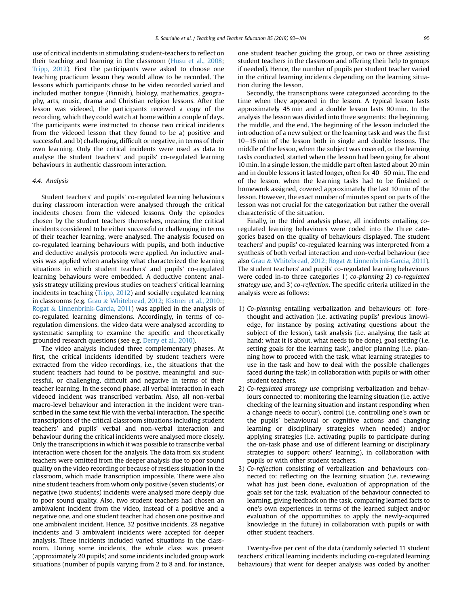use of critical incidents in stimulating student-teachers to reflect on their teaching and learning in the classroom ([Husu et al., 2008;](#page-12-0) [Tripp, 2012\)](#page-12-0). First the participants were asked to choose one teaching practicum lesson they would allow to be recorded. The lessons which participants chose to be video recorded varied and included mother tongue (Finnish), biology, mathematics, geography, arts, music, drama and Christian religion lessons. After the lesson was videoed, the participants received a copy of the recording, which they could watch at home within a couple of days. The participants were instructed to choose two critical incidents from the videoed lesson that they found to be a) positive and successful, and b) challenging, difficult or negative, in terms of their own learning. Only the critical incidents were used as data to analyse the student teachers' and pupils' co-regulated learning behaviours in authentic classroom interaction.

#### 4.4. Analysis

Student teachers' and pupils' co-regulated learning behaviours during classroom interaction were analysed through the critical incidents chosen from the videoed lessons. Only the episodes chosen by the student teachers themselves, meaning the critical incidents considered to be either successful or challenging in terms of their teacher learning, were analysed. The analysis focused on co-regulated learning behaviours with pupils, and both inductive and deductive analysis protocols were applied. An inductive analysis was applied when analysing what characterized the learning situations in which student teachers' and pupils' co-regulated learning behaviours were embedded. A deductive content analysis strategy utilizing previous studies on teachers' critical learning incidents in teaching ([Tripp, 2012\)](#page-12-0) and socially regulated learning in classrooms (e.g. [Grau](#page-12-0) & [Whitebread, 2012;](#page-12-0) [Kistner et al., 2010:](#page-12-0); [Rogat](#page-12-0) & [Linnenbrink-Garcia, 2011\)](#page-12-0) was applied in the analysis of co-regulated learning dimensions. Accordingly, in terms of coregulation dimensions, the video data were analysed according to systematic sampling to examine the specific and theoretically grounded research questions (see e.g. [Derry et al., 2010](#page-12-0)).

The video analysis included three complementary phases. At first, the critical incidents identified by student teachers were extracted from the video recordings, i.e., the situations that the student teachers had found to be positive, meaningful and successful, or challenging, difficult and negative in terms of their teacher learning. In the second phase, all verbal interaction in each videoed incident was transcribed verbatim. Also, all non-verbal macro-level behaviour and interaction in the incident were transcribed in the same text file with the verbal interaction. The specific transcriptions of the critical classroom situations including student teachers' and pupils' verbal and non-verbal interaction and behaviour during the critical incidents were analysed more closely. Only the transcriptions in which it was possible to transcribe verbal interaction were chosen for the analysis. The data from six student teachers were omitted from the deeper analysis due to poor sound quality on the video recording or because of restless situation in the classroom, which made transcription impossible. There were also nine student teachers from whom only positive (seven students) or negative (two students) incidents were analysed more deeply due to poor sound quality. Also, two student teachers had chosen an ambivalent incident from the video, instead of a positive and a negative one, and one student teacher had chosen one positive and one ambivalent incident. Hence, 32 positive incidents, 28 negative incidents and 3 ambivalent incidents were accepted for deeper analysis. These incidents included varied situations in the classroom. During some incidents, the whole class was present (approximately 20 pupils) and some incidents included group work situations (number of pupils varying from 2 to 8 and, for instance,

one student teacher guiding the group, or two or three assisting student teachers in the classroom and offering their help to groups if needed). Hence, the number of pupils per student teacher varied in the critical learning incidents depending on the learning situation during the lesson.

Secondly, the transcriptions were categorized according to the time when they appeared in the lesson. A typical lesson lasts approximately 45 min and a double lesson lasts 90 min. In the analysis the lesson was divided into three segments: the beginning, the middle, and the end. The beginning of the lesson included the introduction of a new subject or the learning task and was the first  $10-15$  min of the lesson both in single and double lessons. The middle of the lesson, when the subject was covered, or the learning tasks conducted, started when the lesson had been going for about 10 min. In a single lesson, the middle part often lasted about 20 min and in double lessons it lasted longer, often for  $40-50$  min. The end of the lesson, when the learning tasks had to be finished or homework assigned, covered approximately the last 10 min of the lesson. However, the exact number of minutes spent on parts of the lesson was not crucial for the categorization but rather the overall characteristic of the situation.

Finally, in the third analysis phase, all incidents entailing coregulated learning behaviours were coded into the three categories based on the quality of behaviours displayed. The student teachers' and pupils' co-regulated learning was interpreted from a synthesis of both verbal interaction and non-verbal behaviour (see also [Grau](#page-12-0) & [Whitebread, 2012](#page-12-0); [Rogat](#page-12-0) & [Linnenbrink-Garcia, 2011\)](#page-12-0). The student teachers' and pupils' co-regulated learning behaviours were coded in-to three categories 1) co-planning 2) co-regulated strategy use, and 3) co-reflection. The specific criteria utilized in the analysis were as follows:

- 1) Co-planning entailing verbalization and behaviours of: forethought and activation (i.e. activating pupils' previous knowledge, for instance by posing activating questions about the subject of the lesson), task analysis (i.e. analysing the task at hand: what it is about, what needs to be done), goal setting (i.e. setting goals for the learning task), and/or planning (i.e. planning how to proceed with the task, what learning strategies to use in the task and how to deal with the possible challenges faced during the task) in collaboration with pupils or with other student teachers.
- 2) Co-regulated strategy use comprising verbalization and behaviours connected to: monitoring the learning situation (i.e. active checking of the learning situation and instant responding when a change needs to occur), control (i.e. controlling one's own or the pupils' behavioural or cognitive actions and changing learning or disciplinary strategies when needed) and/or applying strategies (i.e. activating pupils to participate during the on-task phase and use of different learning or disciplinary strategies to support others' learning), in collaboration with pupils or with other student teachers.
- 3) Co-reflection consisting of verbalization and behaviours connected to: reflecting on the learning situation (i.e. reviewing what has just been done, evaluation of appropriation of the goals set for the task, evaluation of the behaviour connected to learning, giving feedback on the task, comparing learned facts to one's own experiences in terms of the learned subject and/or evaluation of the opportunities to apply the newly-acquired knowledge in the future) in collaboration with pupils or with other student teachers.

Twenty-five per cent of the data (randomly selected 11 student teachers' critical learning incidents including co-regulated learning behaviours) that went for deeper analysis was coded by another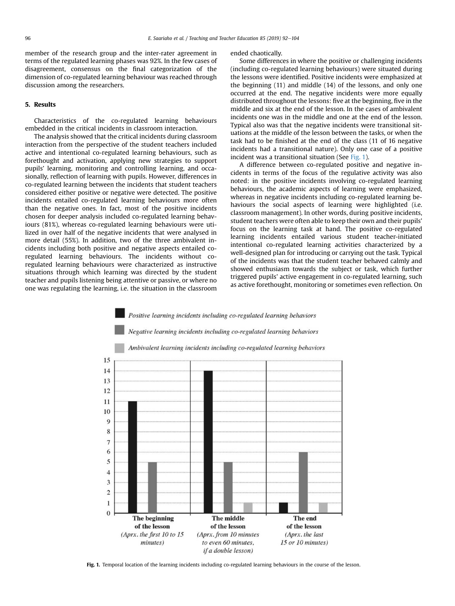member of the research group and the inter-rater agreement in terms of the regulated learning phases was 92%. In the few cases of disagreement, consensus on the final categorization of the dimension of co-regulated learning behaviour was reached through discussion among the researchers.

# 5. Results

Characteristics of the co-regulated learning behaviours embedded in the critical incidents in classroom interaction.

The analysis showed that the critical incidents during classroom interaction from the perspective of the student teachers included active and intentional co-regulated learning behaviours, such as forethought and activation, applying new strategies to support pupils' learning, monitoring and controlling learning, and occasionally, reflection of learning with pupils. However, differences in co-regulated learning between the incidents that student teachers considered either positive or negative were detected. The positive incidents entailed co-regulated learning behaviours more often than the negative ones. In fact, most of the positive incidents chosen for deeper analysis included co-regulated learning behaviours (81%), whereas co-regulated learning behaviours were utilized in over half of the negative incidents that were analysed in more detail (55%). In addition, two of the three ambivalent incidents including both positive and negative aspects entailed coregulated learning behaviours. The incidents without coregulated learning behaviours were characterized as instructive situations through which learning was directed by the student teacher and pupils listening being attentive or passive, or where no one was regulating the learning, i.e. the situation in the classroom ended chaotically.

Some differences in where the positive or challenging incidents (including co-regulated learning behaviours) were situated during the lessons were identified. Positive incidents were emphasized at the beginning (11) and middle (14) of the lessons, and only one occurred at the end. The negative incidents were more equally distributed throughout the lessons: five at the beginning, five in the middle and six at the end of the lesson. In the cases of ambivalent incidents one was in the middle and one at the end of the lesson. Typical also was that the negative incidents were transitional situations at the middle of the lesson between the tasks, or when the task had to be finished at the end of the class (11 of 16 negative incidents had a transitional nature). Only one case of a positive incident was a transitional situation (See Fig. 1).

A difference between co-regulated positive and negative incidents in terms of the focus of the regulative activity was also noted: in the positive incidents involving co-regulated learning behaviours, the academic aspects of learning were emphasized, whereas in negative incidents including co-regulated learning behaviours the social aspects of learning were highlighted (i.e. classroom management). In other words, during positive incidents, student teachers were often able to keep their own and their pupils' focus on the learning task at hand. The positive co-regulated learning incidents entailed various student teacher-initiated intentional co-regulated learning activities characterized by a well-designed plan for introducing or carrying out the task. Typical of the incidents was that the student teacher behaved calmly and showed enthusiasm towards the subject or task, which further triggered pupils' active engagement in co-regulated learning, such as active forethought, monitoring or sometimes even reflection. On



Fig. 1. Temporal location of the learning incidents including co-regulated learning behaviours in the course of the lesson.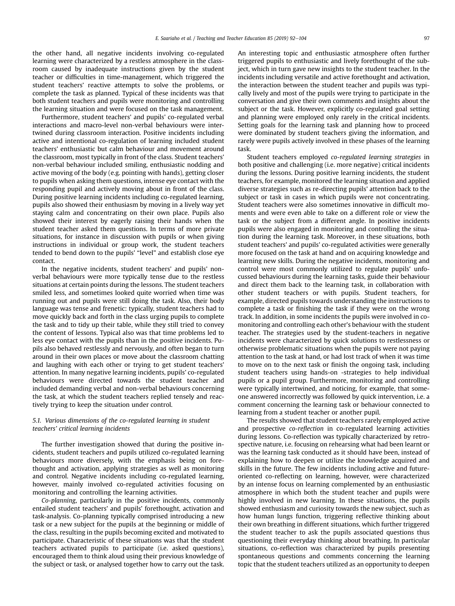the other hand, all negative incidents involving co-regulated learning were characterized by a restless atmosphere in the classroom caused by inadequate instructions given by the student teacher or difficulties in time-management, which triggered the student teachers' reactive attempts to solve the problems, or complete the task as planned. Typical of these incidents was that both student teachers and pupils were monitoring and controlling the learning situation and were focused on the task management.

Furthermore, student teachers' and pupils' co-regulated verbal interactions and macro-level non-verbal behaviours were intertwined during classroom interaction. Positive incidents including active and intentional co-regulation of learning included student teachers' enthusiastic but calm behaviour and movement around the classroom, most typically in front of the class. Student teachers' non-verbal behaviour included smiling, enthusiastic nodding and active moving of the body (e.g. pointing with hands), getting closer to pupils when asking them questions, intense eye contact with the responding pupil and actively moving about in front of the class. During positive learning incidents including co-regulated learning, pupils also showed their enthusiasm by moving in a lively way yet staying calm and concentrating on their own place. Pupils also showed their interest by eagerly raising their hands when the student teacher asked them questions. In terms of more private situations, for instance in discussion with pupils or when giving instructions in individual or group work, the student teachers tended to bend down to the pupils' "level" and establish close eye contact.

In the negative incidents, student teachers' and pupils' nonverbal behaviours were more typically tense due to the restless situations at certain points during the lessons. The student teachers smiled less, and sometimes looked quite worried when time was running out and pupils were still doing the task. Also, their body language was tense and frenetic: typically, student teachers had to move quickly back and forth in the class urging pupils to complete the task and to tidy up their table, while they still tried to convey the content of lessons. Typical also was that time problems led to less eye contact with the pupils than in the positive incidents. Pupils also behaved restlessly and nervously, and often began to turn around in their own places or move about the classroom chatting and laughing with each other or trying to get student teachers' attention. In many negative learning incidents, pupils' co-regulated behaviours were directed towards the student teacher and included demanding verbal and non-verbal behaviours concerning the task, at which the student teachers replied tensely and reactively trying to keep the situation under control.

# 5.1. Various dimensions of the co-regulated learning in student teachers' critical learning incidents

The further investigation showed that during the positive incidents, student teachers and pupils utilized co-regulated learning behaviours more diversely, with the emphasis being on forethought and activation, applying strategies as well as monitoring and control. Negative incidents including co-regulated learning, however, mainly involved co-regulated activities focusing on monitoring and controlling the learning activities.

Co-planning, particularly in the positive incidents, commonly entailed student teachers' and pupils' forethought, activation and task-analysis. Co-planning typically comprised introducing a new task or a new subject for the pupils at the beginning or middle of the class, resulting in the pupils becoming excited and motivated to participate. Characteristic of these situations was that the student teachers activated pupils to participate (i.e. asked questions), encouraged them to think aloud using their previous knowledge of the subject or task, or analysed together how to carry out the task.

An interesting topic and enthusiastic atmosphere often further triggered pupils to enthusiastic and lively forethought of the subject, which in turn gave new insights to the student teacher. In the incidents including versatile and active forethought and activation, the interaction between the student teacher and pupils was typically lively and most of the pupils were trying to participate in the conversation and give their own comments and insights about the subject or the task. However, explicitly co-regulated goal setting and planning were employed only rarely in the critical incidents. Setting goals for the learning task and planning how to proceed were dominated by student teachers giving the information, and rarely were pupils actively involved in these phases of the learning task.

Student teachers employed co-regulated learning strategies in both positive and challenging (i.e. more negative) critical incidents during the lessons. During positive learning incidents, the student teachers, for example, monitored the learning situation and applied diverse strategies such as re-directing pupils' attention back to the subject or task in cases in which pupils were not concentrating. Student teachers were also sometimes innovative in difficult moments and were even able to take on a different role or view the task or the subject from a different angle. In positive incidents pupils were also engaged in monitoring and controlling the situation during the learning task. Moreover, in these situations, both student teachers' and pupils' co-regulated activities were generally more focused on the task at hand and on acquiring knowledge and learning new skills. During the negative incidents, monitoring and control were most commonly utilized to regulate pupils' unfocussed behaviours during the learning tasks, guide their behaviour and direct them back to the learning task, in collaboration with other student teachers or with pupils. Student teachers, for example, directed pupils towards understanding the instructions to complete a task or finishing the task if they were on the wrong track. In addition, in some incidents the pupils were involved in comonitoring and controlling each other's behaviour with the student teacher. The strategies used by the student-teachers in negative incidents were characterized by quick solutions to restlessness or otherwise problematic situations when the pupils were not paying attention to the task at hand, or had lost track of when it was time to move on to the next task or finish the ongoing task, including student teachers using hands-on -strategies to help individual pupils or a pupil group. Furthermore, monitoring and controlling were typically intertwined, and noticing, for example, that someone answered incorrectly was followed by quick intervention, i.e. a comment concerning the learning task or behaviour connected to learning from a student teacher or another pupil.

The results showed that student teachers rarely employed active and prospective co-reflection in co-regulated learning activities during lessons. Co-reflection was typically characterized by retrospective nature, i.e. focusing on rehearsing what had been learnt or was the learning task conducted as it should have been, instead of explaining how to deepen or utilize the knowledge acquired and skills in the future. The few incidents including active and futureoriented co-reflecting on learning, however, were characterized by an intense focus on learning complemented by an enthusiastic atmosphere in which both the student teacher and pupils were highly involved in new learning. In these situations, the pupils showed enthusiasm and curiosity towards the new subject, such as how human lungs function, triggering reflective thinking about their own breathing in different situations, which further triggered the student teacher to ask the pupils associated questions thus questioning their everyday thinking about breathing. In particular situations, co-reflection was characterized by pupils presenting spontaneous questions and comments concerning the learning topic that the student teachers utilized as an opportunity to deepen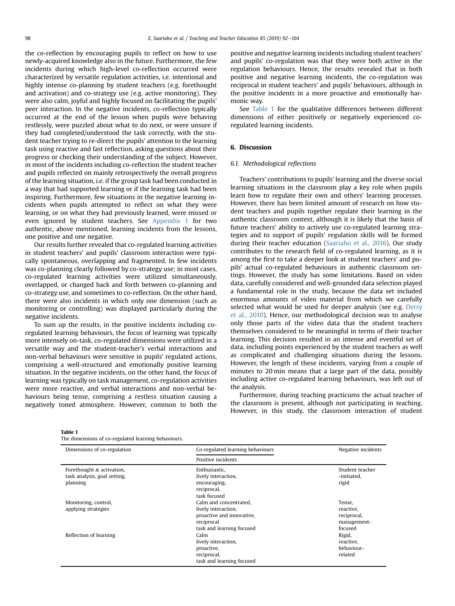the co-reflection by encouraging pupils to reflect on how to use newly-acquired knowledge also in the future. Furthermore, the few incidents during which high-level co-reflection occurred were characterized by versatile regulation activities, i.e. intentional and highly intense co-planning by student teachers (e.g. forethought and activation) and co-strategy use (e.g. active monitoring). They were also calm, joyful and highly focused on facilitating the pupils' peer interaction. In the negative incidents, co-reflection typically occurred at the end of the lesson when pupils were behaving restlessly, were puzzled about what to do next, or were unsure if they had completed/understood the task correctly, with the student teacher trying to re-direct the pupils' attention to the learning task using reactive and fast reflection, asking questions about their progress or checking their understanding of the subject. However, in most of the incidents including co-reflection the student teacher and pupils reflected on mainly retrospectively the overall progress of the learning situation, i.e. if the group task had been conducted in a way that had supported learning or if the learning task had been inspiring. Furthermore, few situations in the negative learning incidents when pupils attempted to reflect on what they were learning, or on what they had previously learned, were missed or even ignored by student teachers. See [Appendix 1](#page-9-0) for two authentic, above mentioned, learning incidents from the lessons, one positive and one negative.

Our results further revealed that co-regulated learning activities in student teachers' and pupils' classroom interaction were typically spontaneous, overlapping and fragmented. In few incidents was co-planning clearly followed by co-strategy use; in most cases, co-regulated learning activities were utilized simultaneously, overlapped, or changed back and forth between co-planning and co-strategy use, and sometimes to co-reflection. On the other hand, there were also incidents in which only one dimension (such as monitoring or controlling) was displayed particularly during the negative incidents.

To sum up the results, in the positive incidents including coregulated learning behaviours, the focus of learning was typically more intensely on-task, co-regulated dimensions were utilized in a versatile way and the student-teacher's verbal interactions and non-verbal behaviours were sensitive in pupils' regulated actions, comprising a well-structured and emotionally positive learning situation. In the negative incidents, on the other hand, the focus of learning was typically on task management, co-regulation activities were more reactive, and verbal interactions and non-verbal behaviours being tense, comprising a restless situation causing a negatively toned atmosphere. However, common to both the positive and negative learning incidents including student teachers' and pupils' co-regulation was that they were both active in the regulation behaviours. Hence, the results revealed that in both positive and negative learning incidents, the co-regulation was reciprocal in student teachers' and pupils' behaviours, although in the positive incidents in a more proactive and emotionally harmonic way.

See Table 1 for the qualitative differences between different dimensions of either positively or negatively experienced coregulated learning incidents.

# 6. Discussion

# 6.1. Methodological reflections

Teachers' contributions to pupils' learning and the diverse social learning situations in the classroom play a key role when pupils learn how to regulate their own and others' learning processes. However, there has been limited amount of research on how student teachers and pupils together regulate their learning in the authentic classroom context, although it is likely that the basis of future teachers' ability to actively use co-regulated learning strategies and to support of pupils' regulation skills will be formed during their teacher education [\(Saariaho et al., 2016\)](#page-12-0). Our study contributes to the research field of co-regulated learning, as it is among the first to take a deeper look at student teachers' and pupils' actual co-regulated behaviours in authentic classroom settings. However, the study has some limitations. Based on video data, carefully considered and well-grounded data selection played a fundamental role in the study, because the data set included enormous amounts of video material from which we carefully selected what would be used for deeper analysis (see e.g. [Derry](#page-12-0) [et al., 2010\)](#page-12-0). Hence, our methodological decision was to analyse only those parts of the video data that the student teachers themselves considered to be meaningful in terms of their teacher learning. This decision resulted in an intense and eventful set of data, including points experienced by the student teachers as well as complicated and challenging situations during the lessons. However, the length of these incidents, varying from a couple of minutes to 20 min means that a large part of the data, possibly including active co-regulated learning behaviours, was left out of the analysis.

Furthermore, during teaching practicums the actual teacher of the classroom is present, although not participating in teaching. However, in this study, the classroom interaction of student

| . . |  |
|-----|--|
|-----|--|

| Dimensions of co-regulation  | Co-regulated learning behaviours | Negative incidents |
|------------------------------|----------------------------------|--------------------|
|                              | Positive incidents               |                    |
| Forethought & activation,    | Enthusiastic.                    | Student teacher    |
| task analysis, goal setting, | lively interaction,              | -initiated,        |
| planning                     | encouraging,                     | rigid              |
|                              | reciprocal,                      |                    |
|                              | task focused                     |                    |
| Monitoring, control,         | Calm and concentrated.           | Tense.             |
| applying strategies          | lively interaction,              | reactive,          |
|                              | proactive and innovative,        | reciprocal,        |
|                              | reciprocal                       | management-        |
|                              | task and learning focused        | focused            |
| Reflection of learning       | Calm                             | Rigid,             |
|                              | lively interaction,              | reactive,          |
|                              | proactive,                       | behaviour-         |
|                              | reciprocal,                      | related            |
|                              | task and learning focused        |                    |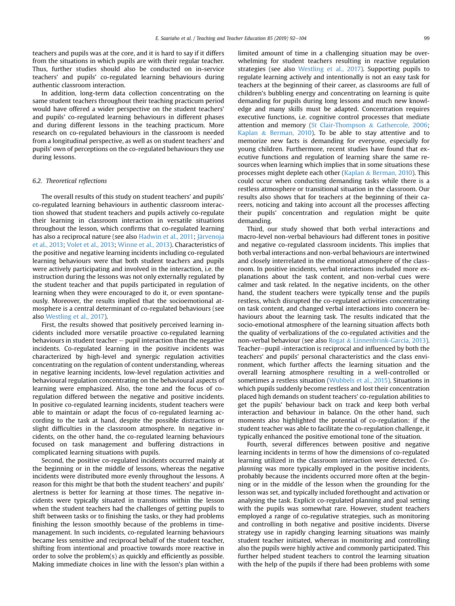teachers and pupils was at the core, and it is hard to say if it differs from the situations in which pupils are with their regular teacher. Thus, further studies should also be conducted on in-service teachers' and pupils' co-regulated learning behaviours during authentic classroom interaction.

In addition, long-term data collection concentrating on the same student teachers throughout their teaching practicum period would have offered a wider perspective on the student teachers' and pupils' co-regulated learning behaviours in different phases and during different lessons in the teaching practicum. More research on co-regulated behaviours in the classroom is needed from a longitudinal perspective, as well as on student teachers' and pupils' own of perceptions on the co-regulated behaviours they use during lessons.

### 6.2. Theoretical reflections

The overall results of this study on student teachers' and pupils' co-regulated learning behaviours in authentic classroom interaction showed that student teachers and pupils actively co-regulate their learning in classroom interaction in versatile situations throughout the lesson, which confirms that co-regulated learning has also a reciprocal nature (see also [Hadwin et al., 2011](#page-12-0); Järvenoja [et al., 2013;](#page-12-0) [Volet et al., 2013;](#page-12-0) [Winne et al., 2013](#page-12-0)). Characteristics of the positive and negative learning incidents including co-regulated learning behaviours were that both student teachers and pupils were actively participating and involved in the interaction, i.e. the instruction during the lessons was not only externally regulated by the student teacher and that pupils participated in regulation of learning when they were encouraged to do it, or even spontaneously. Moreover, the results implied that the socioemotional atmosphere is a central determinant of co-regulated behaviours (see also [Westling et al., 2017\)](#page-12-0).

First, the results showed that positively perceived learning incidents included more versatile proactive co-regulated learning behaviours in student teacher  $-$  pupil interaction than the negative incidents. Co-regulated learning in the positive incidents was characterized by high-level and synergic regulation activities concentrating on the regulation of content understanding, whereas in negative learning incidents, low-level regulation activities and behavioural regulation concentrating on the behavioural aspects of learning were emphasized. Also, the tone and the focus of coregulation differed between the negative and positive incidents. In positive co-regulated learning incidents, student teachers were able to maintain or adapt the focus of co-regulated learning according to the task at hand, despite the possible distractions or slight difficulties in the classroom atmosphere. In negative incidents, on the other hand, the co-regulated learning behaviours focused on task management and buffering distractions in complicated learning situations with pupils.

Second, the positive co-regulated incidents occurred mainly at the beginning or in the middle of lessons, whereas the negative incidents were distributed more evenly throughout the lessons. A reason for this might be that both the student teachers' and pupils' alertness is better for learning at those times. The negative incidents were typically situated in transitions within the lesson when the student teachers had the challenges of getting pupils to shift between tasks or to finishing the tasks, or they had problems finishing the lesson smoothly because of the problems in timemanagement. In such incidents, co-regulated learning behaviours became less sensitive and reciprocal behalf of the student teacher, shifting from intentional and proactive towards more reactive in order to solve the problem(s) as quickly and efficiently as possible. Making immediate choices in line with the lesson's plan within a limited amount of time in a challenging situation may be overwhelming for student teachers resulting in reactive regulation strategies (see also [Westling et al., 2017](#page-12-0)). Supporting pupils to regulate learning actively and intentionally is not an easy task for teachers at the beginning of their career, as classrooms are full of children's bubbling energy and concentrating on learning is quite demanding for pupils during long lessons and much new knowledge and many skills must be adapted. Concentration requires executive functions, i.e. cognitive control processes that mediate attention and memory ([St Clair-Thompson](#page-12-0) & [Gathercole, 2006;](#page-12-0) [Kaplan](#page-12-0) & [Berman, 2010\)](#page-12-0). To be able to stay attentive and to memorize new facts is demanding for everyone, especially for young children. Furthermore, recent studies have found that executive functions and regulation of learning share the same resources when learning which implies that in some situations these processes might deplete each other ([Kaplan](#page-12-0) & [Berman, 2010\)](#page-12-0). This could occur when conducting demanding tasks while there is a restless atmosphere or transitional situation in the classroom. Our results also shows that for teachers at the beginning of their careers, noticing and taking into account all the processes affecting their pupils' concentration and regulation might be quite demanding.

Third, our study showed that both verbal interactions and macro-level non-verbal behaviours had different tones in positive and negative co-regulated classroom incidents. This implies that both verbal interactions and non-verbal behaviours are intertwined and closely interrelated in the emotional atmosphere of the classroom. In positive incidents, verbal interactions included more explanations about the task content, and non-verbal cues were calmer and task related. In the negative incidents, on the other hand, the student teachers were typically tense and the pupils restless, which disrupted the co-regulated activities concentrating on task content, and changed verbal interactions into concern behaviours about the learning task. The results indicated that the socio-emotional atmosphere of the learning situation affects both the quality of verbalizations of the co-regulated activities and the non-verbal behaviour (see also [Rogat](#page-12-0) & [Linnenbrink-Garcia, 2013\)](#page-12-0). Teacher-pupil -interaction is reciprocal and influenced by both the teachers' and pupils' personal characteristics and the class environment, which further affects the learning situation and the overall learning atmosphere resulting in a well-controlled or sometimes a restless situation [\(Wubbels et al., 2015\)](#page-12-0). Situations in which pupils suddenly become restless and lost their concentration placed high demands on student teachers' co-regulation abilities to get the pupils' behaviour back on track and keep both verbal interaction and behaviour in balance. On the other hand, such moments also highlighted the potential of co-regulation: if the student teacher was able to facilitate the co-regulation challenge, it typically enhanced the positive emotional tone of the situation.

Fourth, several differences between positive and negative learning incidents in terms of how the dimensions of co-regulated learning utilized in the classroom interaction were detected. Coplanning was more typically employed in the positive incidents, probably because the incidents occurred more often at the beginning or in the middle of the lesson when the grounding for the lesson was set, and typically included forethought and activation or analysing the task. Explicit co-regulated planning and goal setting with the pupils was somewhat rare. However, student teachers employed a range of co-regulative strategies, such as monitoring and controlling in both negative and positive incidents. Diverse strategy use in rapidly changing learning situations was mainly student teacher initiated, whereas in monitoring and controlling also the pupils were highly active and commonly participated. This further helped student teachers to control the learning situation with the help of the pupils if there had been problems with some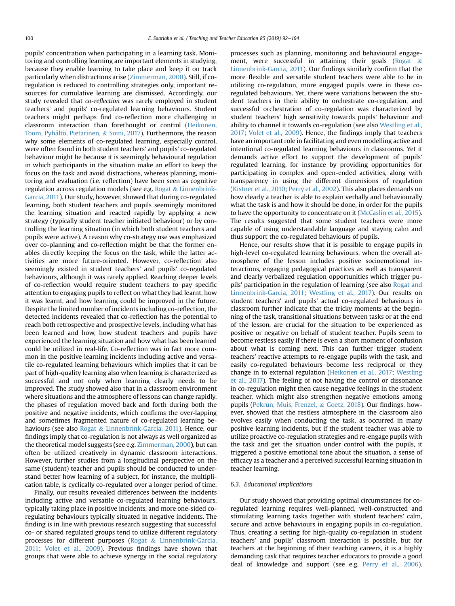pupils' concentration when participating in a learning task. Monitoring and controlling learning are important elements in studying, because they enable learning to take place and keep it on track particularly when distractions arise [\(Zimmerman, 2000](#page-12-0)). Still, if coregulation is reduced to controlling strategies only, important resources for cumulative learning are dismissed. Accordingly, our study revealed that co-reflection was rarely employed in student teachers' and pupils' co-regulated learning behaviours. Student teachers might perhaps find co-reflection more challenging in classroom interaction than forethought or control ([Heikonen,](#page-12-0) [Toom, Pyh](#page-12-0)ä[lt](#page-12-0)ö[, Pietarinen,](#page-12-0) & [Soini, 2017](#page-12-0)). Furthermore, the reason why some elements of co-regulated learning, especially control, were often found in both student teachers' and pupils' co-regulated behaviour might be because it is seemingly behavioural regulation in which participants in the situation make an effort to keep the focus on the task and avoid distractions, whereas planning, monitoring and evaluation (i.e. reflection) have been seen as cognitive regulation across regulation models (see e.g. [Rogat](#page-12-0) & [Linnenbrink-](#page-12-0)[Garcia, 2011](#page-12-0)). Our study, however, showed that during co-regulated learning, both student teachers and pupils seemingly monitored the learning situation and reacted rapidly by applying a new strategy (typically student teacher initiated behaviour) or by controlling the learning situation (in which both student teachers and pupils were active). A reason why co-strategy use was emphasized over co-planning and co-reflection might be that the former enables directly keeping the focus on the task, while the latter activities are more future-oriented. However, co-reflection also seemingly existed in student teachers' and pupils' co-regulated behaviours, although it was rarely applied. Reaching deeper levels of co-reflection would require student teachers to pay specific attention to engaging pupils to reflect on what they had learnt, how it was learnt, and how learning could be improved in the future. Despite the limited number of incidents including co-reflection, the detected incidents revealed that co-reflection has the potential to reach both retrospective and prospective levels, including what has been learned and how, how student teachers and pupils have experienced the learning situation and how what has been learned could be utilized in real-life. Co-reflection was in fact more common in the positive learning incidents including active and versatile co-regulated learning behaviours which implies that it can be part of high-quality learning also when learning is characterized as successful and not only when learning clearly needs to be improved. The study showed also that in a classroom environment where situations and the atmosphere of lessons can change rapidly, the phases of regulation moved back and forth during both the positive and negative incidents, which confirms the over-lapping and sometimes fragmented nature of co-regulated learning behaviours (see also [Rogat](#page-12-0) & [Linnenbrink-Garcia, 2011](#page-12-0)). Hence, our findings imply that co-regulation is not always as well organized as the theoretical model suggests (see e.g. [Zimmerman, 2000](#page-12-0)), but can often be utilized creatively in dynamic classroom interactions. However, further studies from a longitudinal perspective on the same (student) teacher and pupils should be conducted to understand better how learning of a subject, for instance, the multiplication table, is cyclically co-regulated over a longer period of time.

Finally, our results revealed differences between the incidents including active and versatile co-regulated learning behaviours, typically taking place in positive incidents, and more one-sided coregulating behaviours typically situated in negative incidents. The finding is in line with previous research suggesting that successful co- or shared regulated groups tend to utilize different regulatory processes for different purposes ([Rogat](#page-12-0) & [Linnenbrink-Garcia,](#page-12-0) [2011;](#page-12-0) [Volet et al., 2009](#page-12-0)). Previous findings have shown that groups that were able to achieve synergy in the social regulatory

processes such as planning, monitoring and behavioural engagement, were successful in attaining their goals [\(Rogat](#page-12-0) & [Linnenbrink-Garcia, 2011\)](#page-12-0). Our findings similarly confirm that the more flexible and versatile student teachers were able to be in utilizing co-regulation, more engaged pupils were in these coregulated behaviours. Yet, there were variations between the student teachers in their ability to orchestrate co-regulation, and successful orchestration of co-regulation was characterized by student teachers' high sensitivity towards pupils' behaviour and ability to channel it towards co-regulation (see also [Westling et al.,](#page-12-0) [2017;](#page-12-0) [Volet et al., 2009\)](#page-12-0). Hence, the findings imply that teachers have an important role in facilitating and even modelling active and intentional co-regulated learning behaviours in classrooms. Yet it demands active effort to support the development of pupils' regulated learning, for instance by providing opportunities for participating in complex and open-ended activities, along with transparency in using the different dimensions of regulation ([Kistner et al., 2010](#page-12-0); [Perry et al., 2002\)](#page-12-0). This also places demands on how clearly a teacher is able to explain verbally and behaviourally what the task is and how it should be done, in order for the pupils to have the opportunity to concentrate on it ([McCaslin et al., 2015\)](#page-12-0). The results suggested that some student teachers were more capable of using understandable language and staying calm and thus support the co-regulated behaviours of pupils.

Hence, our results show that it is possible to engage pupils in high-level co-regulated learning behaviours, when the overall atmosphere of the lesson includes positive socioemotional interactions, engaging pedagogical practices as well as transparent and clearly verbalized regulation opportunities which trigger pupils' participation in the regulation of learning (see also [Rogat and](#page-12-0) [Linnenbrink-Garcia, 2011](#page-12-0); [Westling et al., 2017\)](#page-12-0). Our results on student teachers' and pupils' actual co-regulated behaviours in classroom further indicate that the tricky moments at the beginning of the task, transitional situations between tasks or at the end of the lesson, are crucial for the situation to be experienced as positive or negative on behalf of student teacher. Pupils seem to become restless easily if there is even a short moment of confusion about what is coming next. This can further trigger student teachers' reactive attempts to re-engage pupils with the task, and easily co-regulated behaviours become less reciprocal or they change in to external regulation ([Heikonen et al., 2017](#page-12-0); [Westling](#page-12-0) [et al., 2017](#page-12-0)). The feeling of not having the control or dissonance in co-regulation might then cause negative feelings in the student teacher, which might also strengthen negative emotions among pupils ([Pekrun, Muis, Frenzel,](#page-12-0) & [Goetz, 2018\)](#page-12-0). Our findings, however, showed that the restless atmosphere in the classroom also evolves easily when conducting the task, as occurred in many positive learning incidents, but if the student teacher was able to utilize proactive co-regulation strategies and re-engage pupils with the task and get the situation under control with the pupils, it triggered a positive emotional tone about the situation, a sense of efficacy as a teacher and a perceived successful learning situation in teacher learning.

# 6.3. Educational implications

Our study showed that providing optimal circumstances for coregulated learning requires well-planned, well-constructed and stimulating learning tasks together with student teachers' calm, secure and active behaviours in engaging pupils in co-regulation. Thus, creating a setting for high-quality co-regulation in student teachers' and pupils' classroom interaction is possible, but for teachers at the beginning of their teaching careers, it is a highly demanding task that requires teacher educators to provide a good deal of knowledge and support (see e.g. [Perry et al., 2006\)](#page-12-0).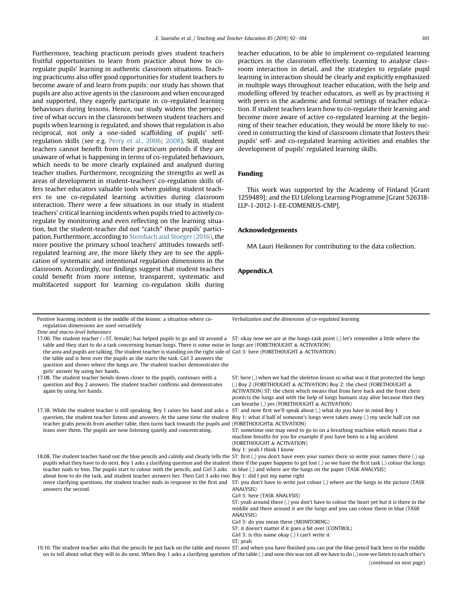<span id="page-9-0"></span>Furthermore, teaching practicum periods gives student teachers fruitful opportunities to learn from practice about how to coregulate pupils' learning in authentic classroom situations. Teaching practicums also offer good opportunities for student teachers to become aware of and learn from pupils: our study has shown that pupils are also active agents in the classroom and when encouraged and supported, they eagerly participate in co-regulated learning behaviours during lessons. Hence, our study widens the perspective of what occurs in the classroom between student teachers and pupils when learning is regulated, and shows that regulation is also reciprocal, not only a one-sided scaffolding of pupils' selfregulation skills (see e.g. [Perry et al., 2006;](#page-12-0) [2008](#page-12-0)). Still, student teachers cannot benefit from their practicum periods if they are unaware of what is happening in terms of co-regulated behaviours, which needs to be more clearly explained and analysed during teacher studies. Furthermore, recognizing the strengths as well as areas of development in student-teachers' co-regulation skills offers teacher educators valuable tools when guiding student teachers to use co-regulated learning activities during classroom interaction. There were a few situations in our study in student teachers' critical learning incidents when pupils tried to actively coregulate by monitoring and even reflecting on the learning situation, but the student-teacher did not "catch" these pupils' participation. Furthermore, according to [Steinbach and Stoeger \(2016\),](#page-12-0) the more positive the primary school teachers' attitudes towards selfregulated learning are, the more likely they are to see the application of systematic and intentional regulation dimensions in the classroom. Accordingly, our findings suggest that student teachers could benefit from more intense, transparent, systematic and multifaceted support for learning co-regulation skills during

teacher education, to be able to implement co-regulated learning practices in the classroom effectively. Learning to analyse classroom interaction in detail, and the strategies to regulate pupil learning in interaction should be clearly and explicitly emphasized in multiple ways throughout teacher education, with the help and modelling offered by teacher educators, as well as by practising it with peers in the academic and formal settings of teacher education. If student teachers learn how to co-regulate their learning and become more aware of active co-regulated learning at the beginning of their teacher education, they would be more likely to succeed in constructing the kind of classroom climate that fosters their pupils' self- and co-regulated learning activities and enables the development of pupils' regulated learning skills.

# Funding

This work was supported by the Academy of Finland [Grant 1259489]; and the EU Lifelong Learning Programme [Grant 526318- LLP-1-2012-1-EE-COMENIUS-CMP].

# Acknowledgements

MA Lauri Heikonen for contributing to the data collection.

# Appendix.A

| Positive learning incident in the middle of the lesson: a situation where co-<br>regulation dimensions are used versatilely                                                                                                                                                                                                                                                                                                                                                                                                                                                                                                                    | Verbalization and the dimension of co-regulated learning                                                                                                                                                                                                                                        |
|------------------------------------------------------------------------------------------------------------------------------------------------------------------------------------------------------------------------------------------------------------------------------------------------------------------------------------------------------------------------------------------------------------------------------------------------------------------------------------------------------------------------------------------------------------------------------------------------------------------------------------------------|-------------------------------------------------------------------------------------------------------------------------------------------------------------------------------------------------------------------------------------------------------------------------------------------------|
| Time and macro-level behaviours                                                                                                                                                                                                                                                                                                                                                                                                                                                                                                                                                                                                                |                                                                                                                                                                                                                                                                                                 |
| 17.00. The student teacher $(=ST,$ female) has helped pupils to go and sit around a $ST$ : okay now we are at the lungs-task point (.) let's remember a little where the<br>table and they start to do a task concerning human lungs. There is some noise in lungs are (FORETHOUGHT & ACTIVATION)<br>the area and pupils are talking. The student teacher is standing on the right side of Girl 3: here (FORETHOUGHT $\&$ ACTIVATION)<br>the table and is bent over the pupils as she starts the task. Girl 3 answers the<br>question and shows where the lungs are. The student teacher demonstrates the<br>girls' answer by using her hands. |                                                                                                                                                                                                                                                                                                 |
| 17.08. The student teacher bends down closer to the pupils, continues with a<br>question and Boy 2 answers. The student teacher confirms and demonstrates                                                                                                                                                                                                                                                                                                                                                                                                                                                                                      | ST: here (.) when we had the skeleton lesson so what was it that protected the lungs                                                                                                                                                                                                            |
| again by using her hands.                                                                                                                                                                                                                                                                                                                                                                                                                                                                                                                                                                                                                      | (.) Boy 2 (FORETHOUGHT & ACTIVATION) Boy 2: the chest (FORETHOUGHT $\&$<br>ACTIVATION) ST: the chest which means that from here back and the front chest<br>protects the lungs and with the help of lungs humans stay alive because then they<br>can breathe (.) yes (FORETHOUGHT & ACTIVATION) |
| 17.38. While the student teacher is still speaking, Boy 1 raises his hand and asks a ST: and now first we'll speak about (.) what do you have in mind Boy 1                                                                                                                                                                                                                                                                                                                                                                                                                                                                                    |                                                                                                                                                                                                                                                                                                 |
| teacher grabs pencils from another table, then turns back towards the pupils and (FORETHOUGHT& ACTIVATION)                                                                                                                                                                                                                                                                                                                                                                                                                                                                                                                                     | question, the student teacher listens and answers. At the same time the student Boy 1: what if half of someone's lungs were taken away (.) my uncle half cut out                                                                                                                                |
| leans over them. The pupils are now listening quietly and concentrating.                                                                                                                                                                                                                                                                                                                                                                                                                                                                                                                                                                       | ST: sometime one may need to go to on a breathing machine which means that a                                                                                                                                                                                                                    |
|                                                                                                                                                                                                                                                                                                                                                                                                                                                                                                                                                                                                                                                | machine breaths for you for example if you have been in a big accident<br>(FORETHOUGHT & ACTIVATION)                                                                                                                                                                                            |
|                                                                                                                                                                                                                                                                                                                                                                                                                                                                                                                                                                                                                                                | Boy 1: yeah I think I know                                                                                                                                                                                                                                                                      |
| 18.08. The student teacher hand out the blue pencils and calmly and clearly tells the ST: first (.) you don't have even your names there so write your names there (.) up                                                                                                                                                                                                                                                                                                                                                                                                                                                                      |                                                                                                                                                                                                                                                                                                 |
| teacher nods to him. The pupils start to colour with the pencils, and Girl 3 asks in blue (.) and where are the lungs on the paper (TASK ANALYSIS)                                                                                                                                                                                                                                                                                                                                                                                                                                                                                             | pupils what they have to do next. Boy 1 asks a clarifying question and the student there if the paper happens to get lost (.) so we have the first task (.) colour the lungs                                                                                                                    |
| about how to do the task, and student teacher answers her. Then Girl 3 asks two Boy 1: did I put my name right                                                                                                                                                                                                                                                                                                                                                                                                                                                                                                                                 |                                                                                                                                                                                                                                                                                                 |
| answers the second.                                                                                                                                                                                                                                                                                                                                                                                                                                                                                                                                                                                                                            | more clarifying questions, the student teacher nods in response to the first and ST: you don't have to write just colour (.) where are the lungs in the picture (TASK<br>ANALYSIS)                                                                                                              |
|                                                                                                                                                                                                                                                                                                                                                                                                                                                                                                                                                                                                                                                | Girl 3: here (TASK ANALYSIS)                                                                                                                                                                                                                                                                    |
|                                                                                                                                                                                                                                                                                                                                                                                                                                                                                                                                                                                                                                                | ST: yeah around there (.) you don't have to colour the heart yet but it is there in the                                                                                                                                                                                                         |
|                                                                                                                                                                                                                                                                                                                                                                                                                                                                                                                                                                                                                                                | middle and there around it are the lungs and you can colour them in blue (TASK<br>ANALYSIS)                                                                                                                                                                                                     |
|                                                                                                                                                                                                                                                                                                                                                                                                                                                                                                                                                                                                                                                | Girl 3: do you mean these (MONITORING)                                                                                                                                                                                                                                                          |
|                                                                                                                                                                                                                                                                                                                                                                                                                                                                                                                                                                                                                                                | ST: it doesn't matter if it goes a bit over (CONTROL)                                                                                                                                                                                                                                           |
|                                                                                                                                                                                                                                                                                                                                                                                                                                                                                                                                                                                                                                                | Girl 3: is this name okay (.) I can't write it                                                                                                                                                                                                                                                  |
|                                                                                                                                                                                                                                                                                                                                                                                                                                                                                                                                                                                                                                                | ST: yeah                                                                                                                                                                                                                                                                                        |
|                                                                                                                                                                                                                                                                                                                                                                                                                                                                                                                                                                                                                                                | 19.10. The student teacher asks that the pencils be put back on the table and moves ST; and when you have finished you can put the blue pencil back here in the middle                                                                                                                          |

on to tell about what they will to do next. When Boy 1 asks a clarifying question of the table (.) and now this was not all we have to do (.) now we listen to each other's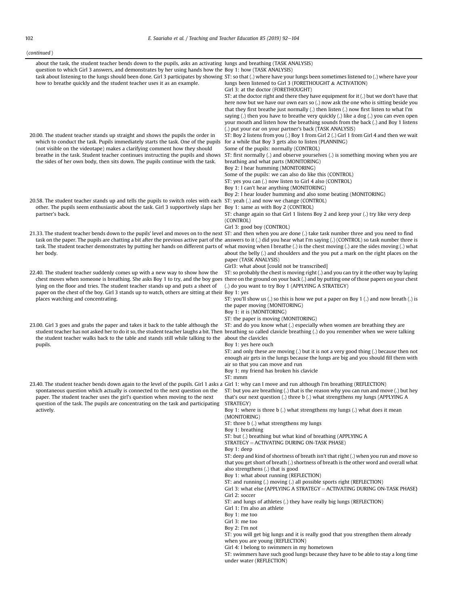# (continued )

| about the task, the student teacher bends down to the pupils, asks an activating lungs and breathing (TASK ANALYSIS)<br>question to which Girl 3 answers, and demonstrates by her using hands how the Boy 1: how (TASK ANALYSIS)<br>how to breathe quickly and the student teacher uses it as an example.               | task about listening to the lungs should been done. Girl 3 participates by showing ST: so that (.) where have your lungs been sometimes listened to (.) where have your<br>lungs been listened to Girl 3 (FORETHOUGHT & ACTIVATION)                                                                                                                                    |
|-------------------------------------------------------------------------------------------------------------------------------------------------------------------------------------------------------------------------------------------------------------------------------------------------------------------------|------------------------------------------------------------------------------------------------------------------------------------------------------------------------------------------------------------------------------------------------------------------------------------------------------------------------------------------------------------------------|
|                                                                                                                                                                                                                                                                                                                         | Girl 3: at the doctor (FORETHOUGHT)<br>ST: at the doctor right and there they have equipment for it (.) but we don't have that<br>here now but we have our own ears so (.) now ask the one who is sitting beside you                                                                                                                                                   |
|                                                                                                                                                                                                                                                                                                                         | that they first breathe just normally (.) then listen (.) now first listen to what I'm<br>saying $(.)$ then you have to breathe very quickly $(.)$ like a dog $(.)$ you can even open<br>your mouth and listen how the breathing sounds from the back (.) and Boy 1 listens<br>(.) put your ear on your partner's back (TASK ANALYSIS)                                 |
| 20.00. The student teacher stands up straight and shows the pupils the order in<br>which to conduct the task. Pupils immediately starts the task. One of the pupils for a while that Boy 3 gets also to listen (PLANNING)<br>(not visible on the videotape) makes a clarifying comment how they should                  | ST: Boy 2 listens from you (.) Boy 1 from Girl 2 (.) Girl 1 from Girl 4 and then we wait<br>Some of the pupils: normally (CONTROL)                                                                                                                                                                                                                                     |
| breathe in the task. Student teacher continues instructing the pupils and shows<br>the sides of her own body, then sits down. The pupils continue with the task.                                                                                                                                                        | ST: first normally (.) and observe yourselves (.) is something moving when you are<br>breathing and what parts (MONITORING)<br>Boy 2: I hear humming (MONITORING)<br>Some of the pupils: we can also do like this (CONTROL)                                                                                                                                            |
|                                                                                                                                                                                                                                                                                                                         | ST: yes you can (.) now listen to Girl 4 also (CONTROL)<br>Boy 1: I can't hear anything (MONITORING)<br>Boy 2: I hear louder humming and also some beating (MONITORING)                                                                                                                                                                                                |
| 20.58. The student teacher stands up and tells the pupils to switch roles with each ST: yeah (.) and now we change (CONTROL)<br>other. The pupils seem enthusiastic about the task, Girl 3 supportively slaps her Boy 1: same as with Boy 2 (CONTROL)<br>partner's back.                                                | ST: change again so that Girl 1 listens Boy 2 and keep your (.) try like very deep                                                                                                                                                                                                                                                                                     |
| 21.33. The student teacher bends down to the pupils' level and moves on to the next ST: and then when you are done (.) take task number three and you need to find                                                                                                                                                      | (CONTROL)<br>Girl 3: good boy (CONTROL)<br>task on the paper. The pupils are chatting a bit after the previous active part of the answers to it (.) did you hear what I'm saying (.) (CONTROL) so task number three is                                                                                                                                                 |
| her body.                                                                                                                                                                                                                                                                                                               | task. The student teacher demonstrates by putting her hands on different parts of what moving when I breathe (.) is the chest moving (.) are the sides moving (.) what<br>about the belly (.) and shoulders and the you put a mark on the right places on the<br>paper (TASK ANALYSIS)                                                                                 |
| 22.40. The student teacher suddenly comes up with a new way to show how the<br>lying on the floor and tries. The student teacher stands up and puts a sheet of                                                                                                                                                          | Girl3: what about [could not be transcribed]<br>ST: so probably the chest is moving right (.) and you can try it the other way by laying<br>chest moves when someone is breathing. She asks Boy 1 to try, and the boy goes there on the ground on your back (.) and by putting one of those papers on your chest<br>(.) do you want to try Boy 1 (APPLYING A STRATEGY) |
| paper on the chest of the boy. Girl 3 stands up to watch, others are sitting at their Boy 1: yes<br>places watching and concentrating.                                                                                                                                                                                  | ST: you'll show us (.) so this is how we put a paper on Boy 1 (.) and now breath (.) is<br>the paper moving (MONITORING)<br>Boy 1: it is (MONITORING)                                                                                                                                                                                                                  |
| 23.00. Girl 3 goes and grabs the paper and takes it back to the table although the<br>the student teacher walks back to the table and stands still while talking to the about the clavicles                                                                                                                             | ST: the paper is moving (MONITORING)<br>ST: and do you know what (.) especially when women are breathing they are<br>student teacher has not asked her to do it so, the student teacher laughs a bit. Then breathing so called clavicle breathing (.) do you remember when we were talking                                                                             |
| pupils.                                                                                                                                                                                                                                                                                                                 | Boy 1: yes here ouch<br>ST: and only these are moving (.) but it is not a very good thing (.) because then not<br>enough air gets in the lungs because the lungs are big and you should fill them with<br>air so that you can move and run                                                                                                                             |
|                                                                                                                                                                                                                                                                                                                         | Boy 1: my friend has broken his clavicle<br>ST: mmm                                                                                                                                                                                                                                                                                                                    |
| 23.40. The student teacher bends down again to the level of the pupils. Girl 1 asks a Girl 1: why can I move and run although I'm breathing (REFLECTION)<br>spontaneous question which actually is connected to the next question on the<br>paper. The student teacher uses the girl's question when moving to the next | ST: but you are breathing $(.)$ that is the reason why you can run and move $(.)$ but hey<br>that's our next question (.) three b (.) what strengthens my lungs (APPLYING A                                                                                                                                                                                            |
| question of the task. The pupils are concentrating on the task and participating STRATEGY)<br>actively.                                                                                                                                                                                                                 | Boy 1: where is three b (.) what strengthens my lungs (.) what does it mean<br>(MONITORING)<br>ST: three b (.) what strengthens my lungs                                                                                                                                                                                                                               |
|                                                                                                                                                                                                                                                                                                                         | Boy 1: breathing<br>ST: but (.) breathing but what kind of breathing (APPLYING A<br>STRATEGY = ACTIVATING DURING ON-TASK PHASE)                                                                                                                                                                                                                                        |
|                                                                                                                                                                                                                                                                                                                         | Boy 1: deep<br>ST: deep and kind of shortness of breath isn't that right (.) when you run and move so<br>that you get short of breath (.) shortness of breath is the other word and overall what                                                                                                                                                                       |
|                                                                                                                                                                                                                                                                                                                         | also strengthens (.) that is good<br>Boy 1: what about running (REFLECTION)<br>ST: and running (.) moving (.) all possible sports right (REFLECTION)<br>Girl 3: what else (APPLYING A STRATEGY = ACTIVATING DURING ON-TASK PHASE)                                                                                                                                      |
|                                                                                                                                                                                                                                                                                                                         | Girl 2: soccer<br>ST: and lungs of athletes (.) they have really big lungs (REFLECTION)<br>Girl 1: I'm also an athlete                                                                                                                                                                                                                                                 |
|                                                                                                                                                                                                                                                                                                                         | Boy 1: me too<br>Girl 3: me too                                                                                                                                                                                                                                                                                                                                        |
|                                                                                                                                                                                                                                                                                                                         | Boy 2: I'm not<br>ST: you will get big lungs and it is really good that you strengthen them already                                                                                                                                                                                                                                                                    |
|                                                                                                                                                                                                                                                                                                                         | when you are young (REFLECTION)<br>Girl 4: I belong to swimmers in my hometown                                                                                                                                                                                                                                                                                         |
|                                                                                                                                                                                                                                                                                                                         | ST: swimmers have such good lungs because they have to be able to stay a long time<br>under water (REFLECTION)                                                                                                                                                                                                                                                         |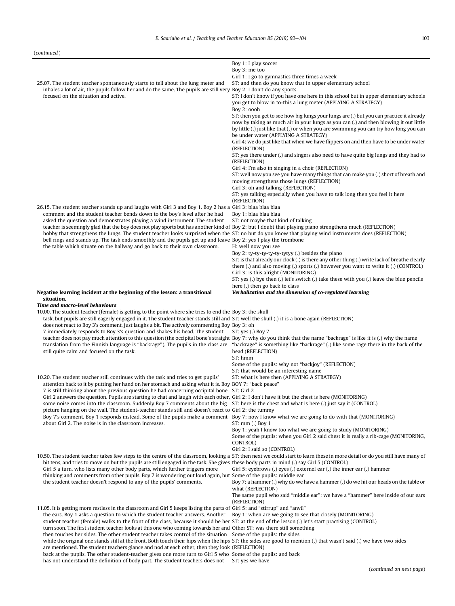(continued )

|                                                                                                                                                                                                                                                                          | Boy 1: I play soccer                                                                                                                                                                       |
|--------------------------------------------------------------------------------------------------------------------------------------------------------------------------------------------------------------------------------------------------------------------------|--------------------------------------------------------------------------------------------------------------------------------------------------------------------------------------------|
|                                                                                                                                                                                                                                                                          | Boy 3: me too                                                                                                                                                                              |
| 25.07. The student teacher spontaneously starts to tell about the lung meter and                                                                                                                                                                                         | Girl 1: I go to gymnastics three times a week<br>ST: and then do you know that in upper elementary school                                                                                  |
| inhales a lot of air, the pupils follow her and do the same. The pupils are still very Boy 2: I don't do any sports                                                                                                                                                      |                                                                                                                                                                                            |
| focused on the situation and active.                                                                                                                                                                                                                                     | ST: I don't know if you have one here in this school but in upper elementary schools                                                                                                       |
|                                                                                                                                                                                                                                                                          | you get to blow in to-this a lung meter (APPLYING A STRATEGY)                                                                                                                              |
|                                                                                                                                                                                                                                                                          | Boy 2: oooh                                                                                                                                                                                |
|                                                                                                                                                                                                                                                                          | ST: then you get to see how big lungs your lungs are (.) but you can practice it already                                                                                                   |
|                                                                                                                                                                                                                                                                          | now by taking as much air in your lungs as you can (.) and then blowing it out little                                                                                                      |
|                                                                                                                                                                                                                                                                          | by little $(.)$ just like that $(.)$ or when you are swimming you can try how long you can<br>be under water (APPLYING A STRATEGY)                                                         |
|                                                                                                                                                                                                                                                                          | Girl 4: we do just like that when we have flippers on and then have to be under water                                                                                                      |
|                                                                                                                                                                                                                                                                          | (REFLECTION)                                                                                                                                                                               |
|                                                                                                                                                                                                                                                                          | ST: yes there under (.) and singers also need to have quite big lungs and they had to                                                                                                      |
|                                                                                                                                                                                                                                                                          | (REFLECTION)                                                                                                                                                                               |
|                                                                                                                                                                                                                                                                          | Girl 4: I'm also in singing in a choir (REFLECTION)                                                                                                                                        |
|                                                                                                                                                                                                                                                                          | ST: well now you see you have many things that can make you (.) short of breath and                                                                                                        |
|                                                                                                                                                                                                                                                                          | moving strengthens those lungs (REFLECTION)<br>Girl 3: oh and talking (REFLECTION)                                                                                                         |
|                                                                                                                                                                                                                                                                          | ST: yes talking especially when you have to talk long then you feel it here                                                                                                                |
|                                                                                                                                                                                                                                                                          | (REFLECTION)                                                                                                                                                                               |
| 26.15. The student teacher stands up and laughs with Girl 3 and Boy 1. Boy 2 has a Girl 3: blaa blaa blaa                                                                                                                                                                |                                                                                                                                                                                            |
| comment and the student teacher bends down to the boy's level after he had                                                                                                                                                                                               | Boy 1: blaa blaa blaa                                                                                                                                                                      |
| asked the question and demonstrates playing a wind instrument. The student                                                                                                                                                                                               | ST: not maybe that kind of talking                                                                                                                                                         |
| teacher is seemingly glad that the boy does not play sports but has another kind of Boy 2: but I doubt that playing piano strengthens much (REFLECTION)                                                                                                                  |                                                                                                                                                                                            |
| hobby that strengthens the lungs. The student teacher looks surprised when the ST: no but do you know that playing wind instruments does (REFLECTION)<br>bell rings and stands up. The task ends smoothly and the pupils get up and leave Boy 2: yes I play the trombone |                                                                                                                                                                                            |
| the table which situate on the hallway and go back to their own classroom.                                                                                                                                                                                               | H: well now you see                                                                                                                                                                        |
|                                                                                                                                                                                                                                                                          | Boy 2: ty-ty-ty-ty-ty-tytyy (.) besides the piano                                                                                                                                          |
|                                                                                                                                                                                                                                                                          | ST: is that already our clock (.) is there any other thing (.) write lack of breathe clearly                                                                                               |
|                                                                                                                                                                                                                                                                          | there (.) and also moving (.) sports (.) however you want to write it (.) (CONTROL)                                                                                                        |
|                                                                                                                                                                                                                                                                          | Girl 3: is this alright (MONITORING)                                                                                                                                                       |
|                                                                                                                                                                                                                                                                          | ST: yes (.) bye then (.) let's switch (.) take these with you (.) leave the blue pencils                                                                                                   |
| Negative learning incident at the beginning of the lesson: a transitional                                                                                                                                                                                                | here (.) then go back to class<br>Verbalization and the dimension of co-regulated learning                                                                                                 |
| situation.                                                                                                                                                                                                                                                               |                                                                                                                                                                                            |
| Time and macro-level behaviours                                                                                                                                                                                                                                          |                                                                                                                                                                                            |
| 10.00. The student teacher (female) is getting to the point where she tries to end the Boy 3: the skull                                                                                                                                                                  |                                                                                                                                                                                            |
|                                                                                                                                                                                                                                                                          |                                                                                                                                                                                            |
| task, but pupils are still eagerly engaged in it. The student teacher stands still and ST: well the skull (.) it is a bone again (REFLECTION)                                                                                                                            |                                                                                                                                                                                            |
| does not react to Boy 3's comment, just laughs a bit. The actively commenting Boy Boy 3: oh                                                                                                                                                                              |                                                                                                                                                                                            |
| 7 immediately responds to Boy 3's question and shakes his head. The student                                                                                                                                                                                              | $ST: yes(.)$ Boy 7                                                                                                                                                                         |
|                                                                                                                                                                                                                                                                          | teacher does not pay much attention to this question (the occipital bone's straight Boy 7: why do you think that the name "backrage" is like it is (.) why the name                        |
| still quite calm and focused on the task.                                                                                                                                                                                                                                | translation from the Finnish language is "backrage"). The pupils in the class are "backrage" is something like "backrage" (.) like some rage there in the back of the<br>head (REFLECTION) |
|                                                                                                                                                                                                                                                                          | ST: hmm                                                                                                                                                                                    |
|                                                                                                                                                                                                                                                                          | Some of the pupils: why not "backjoy" (REFLECTION)                                                                                                                                         |
|                                                                                                                                                                                                                                                                          | ST: that would be an interesting name                                                                                                                                                      |
| 10.20. The student teacher still continues with the task and tries to get pupils'                                                                                                                                                                                        | ST: what is here then (APPLYING A STRATEGY)                                                                                                                                                |
| attention back to it by putting her hand on her stomach and asking what it is. Boy BOY 7: "back peace"                                                                                                                                                                   |                                                                                                                                                                                            |
| 7 is still thinking about the previous question he had concerning occipital bone. ST: Girl 2<br>Girl 2 answers the question. Pupils are starting to chat and laugh with each other, Girl 2: I don't have it but the chest is here (MONITORING)                           |                                                                                                                                                                                            |
| some noise comes into the classroom. Suddenly Boy 7 comments about the big ST: here is the chest and what is here (.) just say it (CONTROL)                                                                                                                              |                                                                                                                                                                                            |
| picture hanging on the wall. The student-teacher stands still and doesn't react to Girl 2: the tummy                                                                                                                                                                     |                                                                                                                                                                                            |
| Boy 7's comment. Boy 1 responds instead. Some of the pupils make a comment Boy 7: now I know what we are going to do with that (MONITORING)                                                                                                                              |                                                                                                                                                                                            |
| about Girl 2. The noise is in the classroom increases.                                                                                                                                                                                                                   | $ST:$ mm $(.)$ Boy 1                                                                                                                                                                       |
|                                                                                                                                                                                                                                                                          | Boy 1: yeah I know too what we are going to study (MONITORING)                                                                                                                             |
|                                                                                                                                                                                                                                                                          | Some of the pupils: when you Girl 2 said chest it is really a rib-cage (MONITORING,<br>CONTROL)                                                                                            |
|                                                                                                                                                                                                                                                                          | Girl 2: I said so (CONTROL)                                                                                                                                                                |
|                                                                                                                                                                                                                                                                          | 10.50. The student teacher takes few steps to the centre of the classroom, looking a ST: then next we could start to learn these in more detail or do you still have many of               |
| bit tens, and tries to move on but the pupils are still engaged in the task. She gives these body parts in mind (.) say Girl 5 (CONTROL)                                                                                                                                 |                                                                                                                                                                                            |
| Girl 5 a turn, who lists many other body parts, which further triggers more                                                                                                                                                                                              | Girl 5: eyebrows (.) eyes (.) externel ear (.) the inner ear (.) hammer                                                                                                                    |
| thinking and comments from other pupils. Boy 7 is wondering out loud again, but Some of the pupils: middle ear                                                                                                                                                           |                                                                                                                                                                                            |
| the student teacher doesn't respond to any of the pupils' comments.                                                                                                                                                                                                      | Boy 7: a hammer (.) why do we have a hammer (.) do we hit our heads on the table or<br>what (REFLECTION)                                                                                   |
|                                                                                                                                                                                                                                                                          | The same pupil who said "middle ear": we have a "hammer" here inside of our ears                                                                                                           |
|                                                                                                                                                                                                                                                                          | (REFLECTION)                                                                                                                                                                               |
| 11.05. It is getting more restless in the classroom and Girl 5 keeps listing the parts of Girl 5: and "stirrup" and "anvil"                                                                                                                                              |                                                                                                                                                                                            |
| the ears. Boy 1 asks a question to which the student teacher answers. Another Boy 1: when are we going to see that closely (MONITORING)                                                                                                                                  |                                                                                                                                                                                            |
| student teacher (female) walks to the front of the class, because it should be her ST: at the end of the lesson (.) let's start practising (CONTROL)                                                                                                                     |                                                                                                                                                                                            |
| turn soon. The first student teacher looks at this one who coming towards her and Other ST: was there still something<br>then touches her sides. The other student teacher takes control of the situation Some of the pupils: the sides                                  |                                                                                                                                                                                            |
| while the original one stands still at the front. Both touch their hips when the hips ST: the sides are good to mention (.) that wasn't said (.) we have two sides                                                                                                       |                                                                                                                                                                                            |
| are mentioned. The student teachers glance and nod at each other, then they look (REFLECTION)                                                                                                                                                                            |                                                                                                                                                                                            |
| back at the pupils. The other student-teacher gives one more turn to Girl 5 who Some of the pupils: and back<br>has not understand the definition of body part. The student teachers does not ST: yes we have                                                            |                                                                                                                                                                                            |